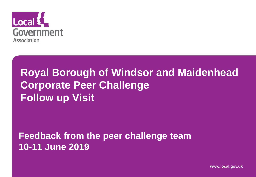

#### **Royal Borough of Windsor and Maidenhead Corporate Peer Challenge Follow up Visit**

#### **Feedback from the peer challenge team 10-11 June 2019**

**www.local.gov.uk**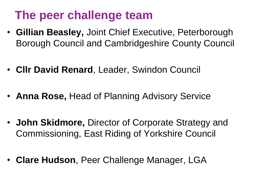#### **The peer challenge team**

- **Gillian Beasley,** Joint Chief Executive, Peterborough Borough Council and Cambridgeshire County Council
- **Cllr David Renard**, Leader, Swindon Council
- **Anna Rose,** Head of Planning Advisory Service
- **John Skidmore,** Director of Corporate Strategy and Commissioning, East Riding of Yorkshire Council
- **Clare Hudson**, Peer Challenge Manager, LGA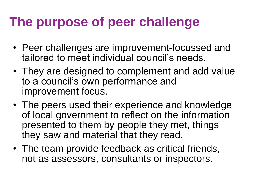#### **The purpose of peer challenge**

- Peer challenges are improvement-focussed and tailored to meet individual council's needs.
- They are designed to complement and add value to a council's own performance and improvement focus.
- The peers used their experience and knowledge of local government to reflect on the information presented to them by people they met, things they saw and material that they read.
- The team provide feedback as critical friends, not as assessors, consultants or inspectors.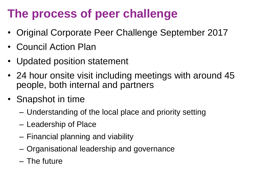#### **The process of peer challenge**

- Original Corporate Peer Challenge September 2017
- Council Action Plan
- Updated position statement
- 24 hour onsite visit including meetings with around 45 people, both internal and partners
- Snapshot in time
	- Understanding of the local place and priority setting
	- Leadership of Place
	- Financial planning and viability
	- Organisational leadership and governance
	- The future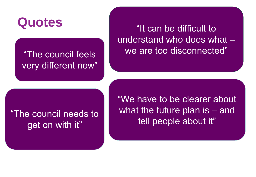very different now"

**Quotes** "It can be difficult to understand who does what – "The council feels **We are too disconnected**"

"The council needs to get on with it"

"We have to be clearer about what the future plan is – and tell people about it"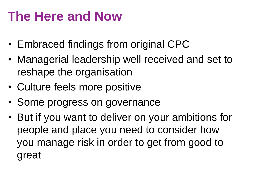## **The Here and Now**

- Embraced findings from original CPC
- Managerial leadership well received and set to reshape the organisation
- Culture feels more positive
- Some progress on governance
- But if you want to deliver on your ambitions for people and place you need to consider how you manage risk in order to get from good to great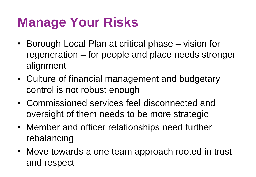### **Manage Your Risks**

- Borough Local Plan at critical phase vision for regeneration – for people and place needs stronger alignment
- Culture of financial management and budgetary control is not robust enough
- Commissioned services feel disconnected and oversight of them needs to be more strategic
- Member and officer relationships need further rebalancing
- Move towards a one team approach rooted in trust and respect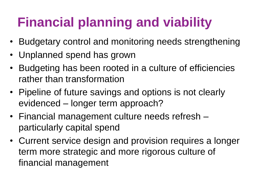# **Financial planning and viability**

- Budgetary control and monitoring needs strengthening
- Unplanned spend has grown
- Budgeting has been rooted in a culture of efficiencies rather than transformation
- Pipeline of future savings and options is not clearly evidenced – longer term approach?
- Financial management culture needs refresh particularly capital spend
- Current service design and provision requires a longer term more strategic and more rigorous culture of financial management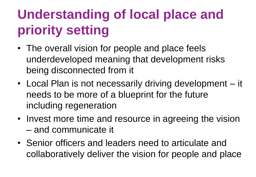# **Understanding of local place and priority setting**

- The overall vision for people and place feels underdeveloped meaning that development risks being disconnected from it
- Local Plan is not necessarily driving development it needs to be more of a blueprint for the future including regeneration
- Invest more time and resource in agreeing the vision – and communicate it
- Senior officers and leaders need to articulate and collaboratively deliver the vision for people and place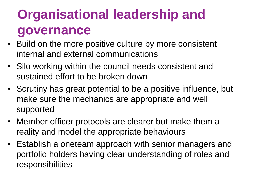# **Organisational leadership and governance**

- Build on the more positive culture by more consistent internal and external communications
- Silo working within the council needs consistent and sustained effort to be broken down
- Scrutiny has great potential to be a positive influence, but make sure the mechanics are appropriate and well supported
- Member officer protocols are clearer but make them a reality and model the appropriate behaviours
- Establish a oneteam approach with senior managers and portfolio holders having clear understanding of roles and responsibilities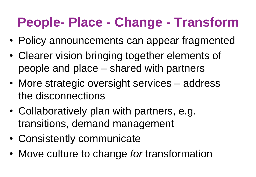## **People- Place - Change - Transform**

- Policy announcements can appear fragmented
- Clearer vision bringing together elements of people and place – shared with partners
- More strategic oversight services address the disconnections
- Collaboratively plan with partners, e.g. transitions, demand management
- Consistently communicate
- Move culture to change *for* transformation